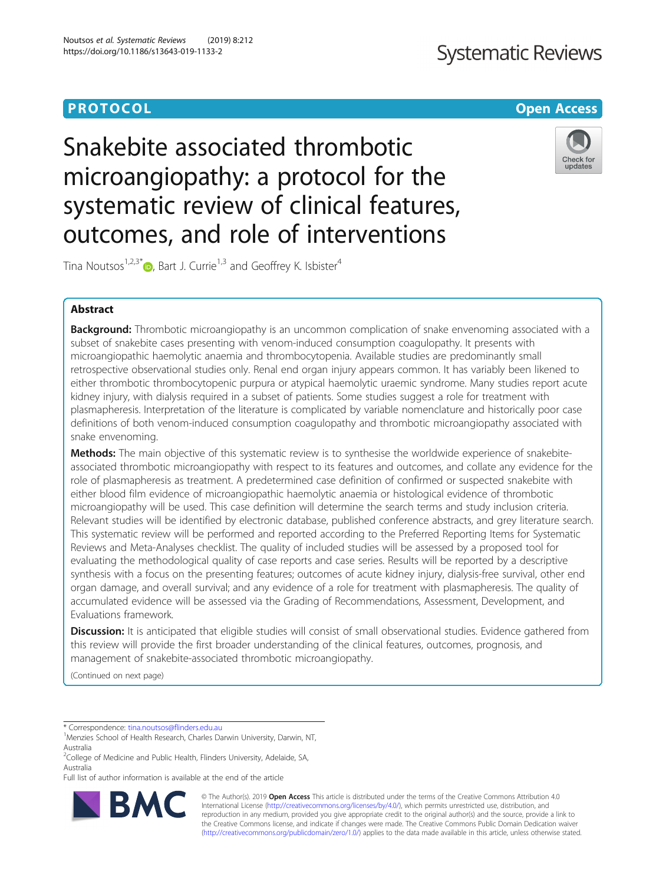# **PROTOCOL CONSUMING THE OPEN ACCESS**

# **Systematic Reviews**

Snakebite associated thrombotic microangiopathy: a protocol for the systematic review of clinical features, outcomes, and role of interventions



Tina Noutsos<sup>1[,](http://orcid.org/0000-0001-9905-2019)2,3\*</sup> $\bullet$ , Bart J. Currie<sup>1,3</sup> and Geoffrey K. Isbister<sup>4</sup>

# Abstract

**Background:** Thrombotic microangiopathy is an uncommon complication of snake envenoming associated with a subset of snakebite cases presenting with venom-induced consumption coagulopathy. It presents with microangiopathic haemolytic anaemia and thrombocytopenia. Available studies are predominantly small retrospective observational studies only. Renal end organ injury appears common. It has variably been likened to either thrombotic thrombocytopenic purpura or atypical haemolytic uraemic syndrome. Many studies report acute kidney injury, with dialysis required in a subset of patients. Some studies suggest a role for treatment with plasmapheresis. Interpretation of the literature is complicated by variable nomenclature and historically poor case definitions of both venom-induced consumption coagulopathy and thrombotic microangiopathy associated with snake envenoming.

Methods: The main objective of this systematic review is to synthesise the worldwide experience of snakebiteassociated thrombotic microangiopathy with respect to its features and outcomes, and collate any evidence for the role of plasmapheresis as treatment. A predetermined case definition of confirmed or suspected snakebite with either blood film evidence of microangiopathic haemolytic anaemia or histological evidence of thrombotic microangiopathy will be used. This case definition will determine the search terms and study inclusion criteria. Relevant studies will be identified by electronic database, published conference abstracts, and grey literature search. This systematic review will be performed and reported according to the Preferred Reporting Items for Systematic Reviews and Meta-Analyses checklist. The quality of included studies will be assessed by a proposed tool for evaluating the methodological quality of case reports and case series. Results will be reported by a descriptive synthesis with a focus on the presenting features; outcomes of acute kidney injury, dialysis-free survival, other end organ damage, and overall survival; and any evidence of a role for treatment with plasmapheresis. The quality of accumulated evidence will be assessed via the Grading of Recommendations, Assessment, Development, and Evaluations framework.

Discussion: It is anticipated that eligible studies will consist of small observational studies. Evidence gathered from this review will provide the first broader understanding of the clinical features, outcomes, prognosis, and management of snakebite-associated thrombotic microangiopathy.

(Continued on next page)

\* Correspondence: [tina.noutsos@flinders.edu.au](mailto:tina.noutsos@flinders.edu.au) <sup>1</sup>

Full list of author information is available at the end of the article



© The Author(s). 2019 **Open Access** This article is distributed under the terms of the Creative Commons Attribution 4.0 International License [\(http://creativecommons.org/licenses/by/4.0/](http://creativecommons.org/licenses/by/4.0/)), which permits unrestricted use, distribution, and reproduction in any medium, provided you give appropriate credit to the original author(s) and the source, provide a link to the Creative Commons license, and indicate if changes were made. The Creative Commons Public Domain Dedication waiver [\(http://creativecommons.org/publicdomain/zero/1.0/](http://creativecommons.org/publicdomain/zero/1.0/)) applies to the data made available in this article, unless otherwise stated.

<sup>&</sup>lt;sup>1</sup>Menzies School of Health Research, Charles Darwin University, Darwin, NT, Australia

<sup>&</sup>lt;sup>2</sup>College of Medicine and Public Health, Flinders University, Adelaide, SA, Australia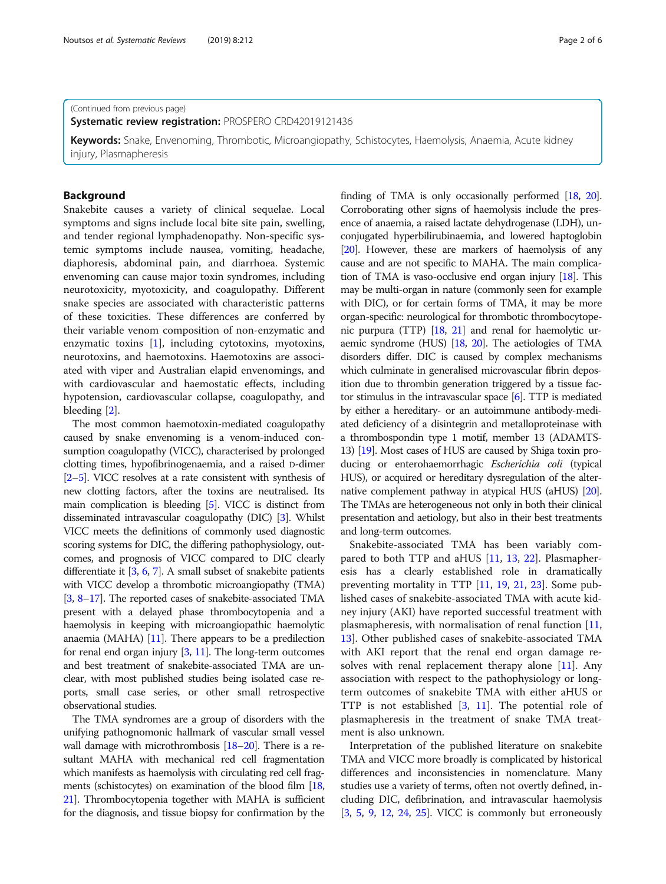(Continued from previous page)

Systematic review registration: PROSPERO CRD42019121436

Keywords: Snake, Envenoming, Thrombotic, Microangiopathy, Schistocytes, Haemolysis, Anaemia, Acute kidney injury, Plasmapheresis

# Background

Snakebite causes a variety of clinical sequelae. Local symptoms and signs include local bite site pain, swelling, and tender regional lymphadenopathy. Non-specific systemic symptoms include nausea, vomiting, headache, diaphoresis, abdominal pain, and diarrhoea. Systemic envenoming can cause major toxin syndromes, including neurotoxicity, myotoxicity, and coagulopathy. Different snake species are associated with characteristic patterns of these toxicities. These differences are conferred by their variable venom composition of non-enzymatic and enzymatic toxins  $[1]$  $[1]$ , including cytotoxins, myotoxins, neurotoxins, and haemotoxins. Haemotoxins are associated with viper and Australian elapid envenomings, and with cardiovascular and haemostatic effects, including hypotension, cardiovascular collapse, coagulopathy, and bleeding [\[2](#page-5-0)].

The most common haemotoxin-mediated coagulopathy caused by snake envenoming is a venom-induced consumption coagulopathy (VICC), characterised by prolonged clotting times, hypofibrinogenaemia, and a raised D-dimer [[2](#page-5-0)–[5\]](#page-5-0). VICC resolves at a rate consistent with synthesis of new clotting factors, after the toxins are neutralised. Its main complication is bleeding [[5](#page-5-0)]. VICC is distinct from disseminated intravascular coagulopathy (DIC) [[3](#page-5-0)]. Whilst VICC meets the definitions of commonly used diagnostic scoring systems for DIC, the differing pathophysiology, outcomes, and prognosis of VICC compared to DIC clearly differentiate it [[3](#page-5-0), [6,](#page-5-0) [7](#page-5-0)]. A small subset of snakebite patients with VICC develop a thrombotic microangiopathy (TMA) [[3](#page-5-0), [8](#page-5-0)–[17](#page-5-0)]. The reported cases of snakebite-associated TMA present with a delayed phase thrombocytopenia and a haemolysis in keeping with microangiopathic haemolytic anaemia (MAHA)  $[11]$  $[11]$  $[11]$ . There appears to be a predilection for renal end organ injury [[3](#page-5-0), [11\]](#page-5-0). The long-term outcomes and best treatment of snakebite-associated TMA are unclear, with most published studies being isolated case reports, small case series, or other small retrospective observational studies.

The TMA syndromes are a group of disorders with the unifying pathognomonic hallmark of vascular small vessel wall damage with microthrombosis [\[18](#page-5-0)–[20](#page-5-0)]. There is a resultant MAHA with mechanical red cell fragmentation which manifests as haemolysis with circulating red cell frag-ments (schistocytes) on examination of the blood film [\[18](#page-5-0), [21](#page-5-0)]. Thrombocytopenia together with MAHA is sufficient for the diagnosis, and tissue biopsy for confirmation by the

finding of TMA is only occasionally performed [\[18](#page-5-0), [20](#page-5-0)]. Corroborating other signs of haemolysis include the presence of anaemia, a raised lactate dehydrogenase (LDH), unconjugated hyperbilirubinaemia, and lowered haptoglobin [[20](#page-5-0)]. However, these are markers of haemolysis of any cause and are not specific to MAHA. The main complication of TMA is vaso-occlusive end organ injury [\[18](#page-5-0)]. This may be multi-organ in nature (commonly seen for example with DIC), or for certain forms of TMA, it may be more organ-specific: neurological for thrombotic thrombocytopenic purpura (TTP) [\[18,](#page-5-0) [21\]](#page-5-0) and renal for haemolytic uraemic syndrome (HUS) [[18,](#page-5-0) [20](#page-5-0)]. The aetiologies of TMA disorders differ. DIC is caused by complex mechanisms which culminate in generalised microvascular fibrin deposition due to thrombin generation triggered by a tissue factor stimulus in the intravascular space [\[6\]](#page-5-0). TTP is mediated by either a hereditary- or an autoimmune antibody-mediated deficiency of a disintegrin and metalloproteinase with a thrombospondin type 1 motif, member 13 (ADAMTS-13) [\[19](#page-5-0)]. Most cases of HUS are caused by Shiga toxin producing or enterohaemorrhagic Escherichia coli (typical HUS), or acquired or hereditary dysregulation of the alternative complement pathway in atypical HUS (aHUS) [\[20](#page-5-0)]. The TMAs are heterogeneous not only in both their clinical presentation and aetiology, but also in their best treatments and long-term outcomes.

Snakebite-associated TMA has been variably compared to both TTP and aHUS [\[11](#page-5-0), [13,](#page-5-0) [22\]](#page-5-0). Plasmapheresis has a clearly established role in dramatically preventing mortality in TTP [[11,](#page-5-0) [19,](#page-5-0) [21](#page-5-0), [23\]](#page-5-0). Some published cases of snakebite-associated TMA with acute kidney injury (AKI) have reported successful treatment with plasmapheresis, with normalisation of renal function [[11](#page-5-0), [13\]](#page-5-0). Other published cases of snakebite-associated TMA with AKI report that the renal end organ damage re-solves with renal replacement therapy alone [[11\]](#page-5-0). Any association with respect to the pathophysiology or longterm outcomes of snakebite TMA with either aHUS or TTP is not established [\[3](#page-5-0), [11](#page-5-0)]. The potential role of plasmapheresis in the treatment of snake TMA treatment is also unknown.

Interpretation of the published literature on snakebite TMA and VICC more broadly is complicated by historical differences and inconsistencies in nomenclature. Many studies use a variety of terms, often not overtly defined, including DIC, defibrination, and intravascular haemolysis [[3,](#page-5-0) [5](#page-5-0), [9](#page-5-0), [12](#page-5-0), [24,](#page-5-0) [25](#page-5-0)]. VICC is commonly but erroneously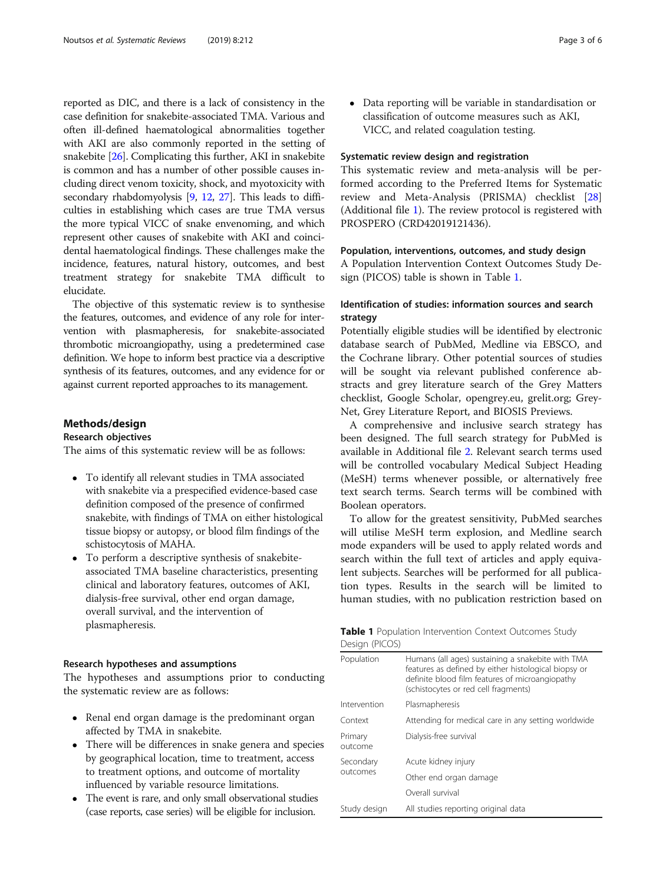reported as DIC, and there is a lack of consistency in the case definition for snakebite-associated TMA. Various and often ill-defined haematological abnormalities together with AKI are also commonly reported in the setting of snakebite [[26](#page-5-0)]. Complicating this further, AKI in snakebite is common and has a number of other possible causes including direct venom toxicity, shock, and myotoxicity with secondary rhabdomyolysis [[9](#page-5-0), [12,](#page-5-0) [27](#page-5-0)]. This leads to difficulties in establishing which cases are true TMA versus the more typical VICC of snake envenoming, and which represent other causes of snakebite with AKI and coincidental haematological findings. These challenges make the incidence, features, natural history, outcomes, and best treatment strategy for snakebite TMA difficult to elucidate.

The objective of this systematic review is to synthesise the features, outcomes, and evidence of any role for intervention with plasmapheresis, for snakebite-associated thrombotic microangiopathy, using a predetermined case definition. We hope to inform best practice via a descriptive synthesis of its features, outcomes, and any evidence for or against current reported approaches to its management.

# Methods/design

# Research objectives

The aims of this systematic review will be as follows:

- To identify all relevant studies in TMA associated with snakebite via a prespecified evidence-based case definition composed of the presence of confirmed snakebite, with findings of TMA on either histological tissue biopsy or autopsy, or blood film findings of the schistocytosis of MAHA.
- To perform a descriptive synthesis of snakebiteassociated TMA baseline characteristics, presenting clinical and laboratory features, outcomes of AKI, dialysis-free survival, other end organ damage, overall survival, and the intervention of plasmapheresis.

# Research hypotheses and assumptions

The hypotheses and assumptions prior to conducting the systematic review are as follows:

- Renal end organ damage is the predominant organ affected by TMA in snakebite.
- There will be differences in snake genera and species by geographical location, time to treatment, access to treatment options, and outcome of mortality influenced by variable resource limitations.
- The event is rare, and only small observational studies (case reports, case series) will be eligible for inclusion.

 Data reporting will be variable in standardisation or classification of outcome measures such as AKI, VICC, and related coagulation testing.

# Systematic review design and registration

This systematic review and meta-analysis will be performed according to the Preferred Items for Systematic review and Meta-Analysis (PRISMA) checklist [[28](#page-5-0)] (Additional file [1](#page-4-0)). The review protocol is registered with PROSPERO (CRD42019121436).

# Population, interventions, outcomes, and study design

A Population Intervention Context Outcomes Study Design (PICOS) table is shown in Table 1.

# Identification of studies: information sources and search strategy

Potentially eligible studies will be identified by electronic database search of PubMed, Medline via EBSCO, and the Cochrane library. Other potential sources of studies will be sought via relevant published conference abstracts and grey literature search of the Grey Matters checklist, Google Scholar, opengrey.eu, grelit.org; Grey-Net, Grey Literature Report, and BIOSIS Previews.

A comprehensive and inclusive search strategy has been designed. The full search strategy for PubMed is available in Additional file [2.](#page-4-0) Relevant search terms used will be controlled vocabulary Medical Subject Heading (MeSH) terms whenever possible, or alternatively free text search terms. Search terms will be combined with Boolean operators.

To allow for the greatest sensitivity, PubMed searches will utilise MeSH term explosion, and Medline search mode expanders will be used to apply related words and search within the full text of articles and apply equivalent subjects. Searches will be performed for all publication types. Results in the search will be limited to human studies, with no publication restriction based on

| <b>Table 1</b> Population Intervention Context Outcomes Study |  |  |
|---------------------------------------------------------------|--|--|
| Design (PICOS)                                                |  |  |

| Population            | Humans (all ages) sustaining a snakebite with TMA<br>features as defined by either histological biopsy or<br>definite blood film features of microangiopathy<br>(schistocytes or red cell fragments) |  |
|-----------------------|------------------------------------------------------------------------------------------------------------------------------------------------------------------------------------------------------|--|
| Intervention          | Plasmapheresis                                                                                                                                                                                       |  |
| Context               | Attending for medical care in any setting worldwide                                                                                                                                                  |  |
| Primary<br>outcome    | Dialysis-free survival                                                                                                                                                                               |  |
| Secondary<br>outcomes | Acute kidney injury                                                                                                                                                                                  |  |
|                       | Other end organ damage                                                                                                                                                                               |  |
|                       | Overall survival                                                                                                                                                                                     |  |
| Study design          | All studies reporting original data                                                                                                                                                                  |  |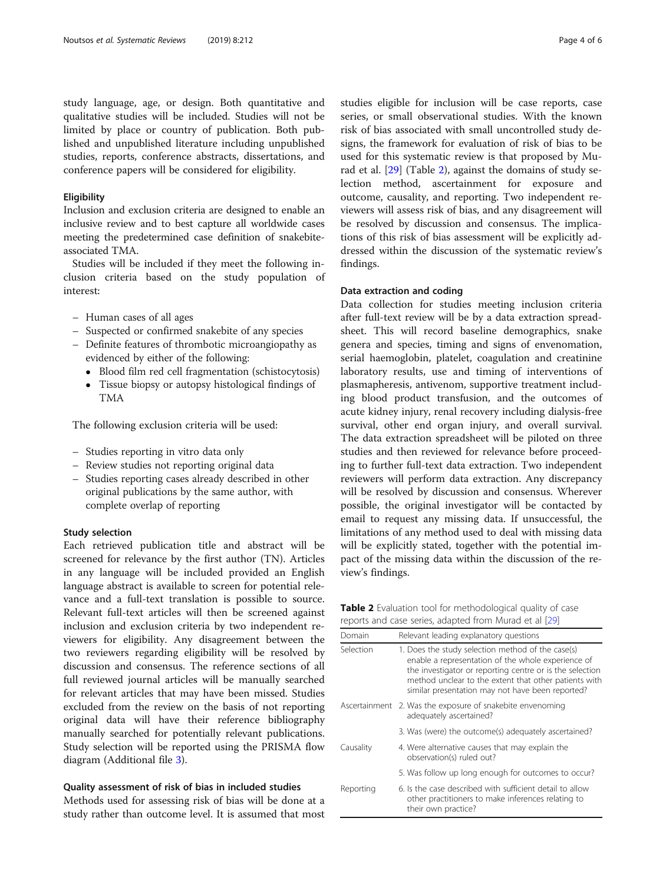study language, age, or design. Both quantitative and qualitative studies will be included. Studies will not be limited by place or country of publication. Both published and unpublished literature including unpublished studies, reports, conference abstracts, dissertations, and conference papers will be considered for eligibility.

# **Eligibility**

Inclusion and exclusion criteria are designed to enable an inclusive review and to best capture all worldwide cases meeting the predetermined case definition of snakebiteassociated TMA.

Studies will be included if they meet the following inclusion criteria based on the study population of interest:

- Human cases of all ages
- Suspected or confirmed snakebite of any species
- Definite features of thrombotic microangiopathy as evidenced by either of the following:
	- Blood film red cell fragmentation (schistocytosis)
	- Tissue biopsy or autopsy histological findings of TMA

The following exclusion criteria will be used:

- Studies reporting in vitro data only
- Review studies not reporting original data
- Studies reporting cases already described in other original publications by the same author, with complete overlap of reporting

# Study selection

Each retrieved publication title and abstract will be screened for relevance by the first author (TN). Articles in any language will be included provided an English language abstract is available to screen for potential relevance and a full-text translation is possible to source. Relevant full-text articles will then be screened against inclusion and exclusion criteria by two independent reviewers for eligibility. Any disagreement between the two reviewers regarding eligibility will be resolved by discussion and consensus. The reference sections of all full reviewed journal articles will be manually searched for relevant articles that may have been missed. Studies excluded from the review on the basis of not reporting original data will have their reference bibliography manually searched for potentially relevant publications. Study selection will be reported using the PRISMA flow diagram (Additional file [3](#page-4-0)).

# Quality assessment of risk of bias in included studies

Methods used for assessing risk of bias will be done at a study rather than outcome level. It is assumed that most studies eligible for inclusion will be case reports, case series, or small observational studies. With the known risk of bias associated with small uncontrolled study designs, the framework for evaluation of risk of bias to be used for this systematic review is that proposed by Murad et al. [\[29\]](#page-5-0) (Table 2), against the domains of study selection method, ascertainment for exposure and outcome, causality, and reporting. Two independent reviewers will assess risk of bias, and any disagreement will be resolved by discussion and consensus. The implications of this risk of bias assessment will be explicitly addressed within the discussion of the systematic review's findings.

# Data extraction and coding

Data collection for studies meeting inclusion criteria after full-text review will be by a data extraction spreadsheet. This will record baseline demographics, snake genera and species, timing and signs of envenomation, serial haemoglobin, platelet, coagulation and creatinine laboratory results, use and timing of interventions of plasmapheresis, antivenom, supportive treatment including blood product transfusion, and the outcomes of acute kidney injury, renal recovery including dialysis-free survival, other end organ injury, and overall survival. The data extraction spreadsheet will be piloted on three studies and then reviewed for relevance before proceeding to further full-text data extraction. Two independent reviewers will perform data extraction. Any discrepancy will be resolved by discussion and consensus. Wherever possible, the original investigator will be contacted by email to request any missing data. If unsuccessful, the limitations of any method used to deal with missing data will be explicitly stated, together with the potential impact of the missing data within the discussion of the review's findings.

| Table 2 Evaluation tool for methodological quality of case |  |  |
|------------------------------------------------------------|--|--|
| reports and case series, adapted from Murad et al [29]     |  |  |

| Domain        | Relevant leading explanatory questions                                                                                                                                                                                                                                           |
|---------------|----------------------------------------------------------------------------------------------------------------------------------------------------------------------------------------------------------------------------------------------------------------------------------|
| Selection     | 1. Does the study selection method of the case(s)<br>enable a representation of the whole experience of<br>the investigator or reporting centre or is the selection<br>method unclear to the extent that other patients with<br>similar presentation may not have been reported? |
| Ascertainment | 2. Was the exposure of snakebite envenoming<br>adequately ascertained?                                                                                                                                                                                                           |
|               | 3. Was (were) the outcome(s) adequately ascertained?                                                                                                                                                                                                                             |
| Causality     | 4. Were alternative causes that may explain the<br>observation(s) ruled out?                                                                                                                                                                                                     |
|               | 5. Was follow up long enough for outcomes to occur?                                                                                                                                                                                                                              |
| Reporting     | 6. Is the case described with sufficient detail to allow<br>other practitioners to make inferences relating to<br>their own practice?                                                                                                                                            |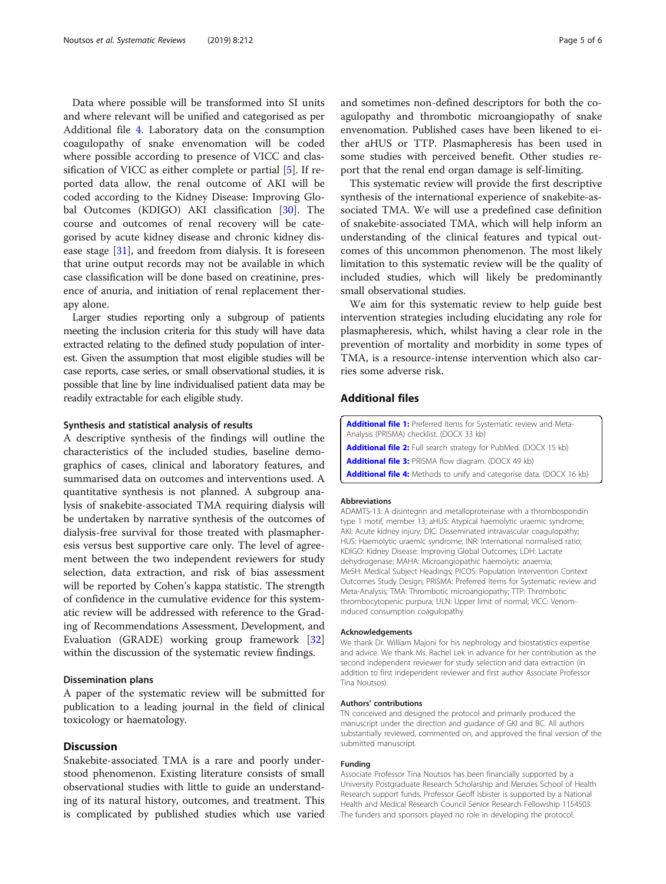<span id="page-4-0"></span>Data where possible will be transformed into SI units and where relevant will be unified and categorised as per Additional file 4. Laboratory data on the consumption coagulopathy of snake envenomation will be coded where possible according to presence of VICC and classification of VICC as either complete or partial [\[5](#page-5-0)]. If reported data allow, the renal outcome of AKI will be coded according to the Kidney Disease: Improving Global Outcomes (KDIGO) AKI classification [[30\]](#page-5-0). The course and outcomes of renal recovery will be categorised by acute kidney disease and chronic kidney disease stage [\[31](#page-5-0)], and freedom from dialysis. It is foreseen that urine output records may not be available in which case classification will be done based on creatinine, presence of anuria, and initiation of renal replacement therapy alone.

Larger studies reporting only a subgroup of patients meeting the inclusion criteria for this study will have data extracted relating to the defined study population of interest. Given the assumption that most eligible studies will be case reports, case series, or small observational studies, it is possible that line by line individualised patient data may be readily extractable for each eligible study.

# Synthesis and statistical analysis of results

A descriptive synthesis of the findings will outline the characteristics of the included studies, baseline demographics of cases, clinical and laboratory features, and summarised data on outcomes and interventions used. A quantitative synthesis is not planned. A subgroup analysis of snakebite-associated TMA requiring dialysis will be undertaken by narrative synthesis of the outcomes of dialysis-free survival for those treated with plasmapheresis versus best supportive care only. The level of agreement between the two independent reviewers for study selection, data extraction, and risk of bias assessment will be reported by Cohen's kappa statistic. The strength of confidence in the cumulative evidence for this systematic review will be addressed with reference to the Grading of Recommendations Assessment, Development, and Evaluation (GRADE) working group framework [[32](#page-5-0)] within the discussion of the systematic review findings.

# Dissemination plans

A paper of the systematic review will be submitted for publication to a leading journal in the field of clinical toxicology or haematology.

# Discussion

Snakebite-associated TMA is a rare and poorly understood phenomenon. Existing literature consists of small observational studies with little to guide an understanding of its natural history, outcomes, and treatment. This is complicated by published studies which use varied and sometimes non-defined descriptors for both the coagulopathy and thrombotic microangiopathy of snake envenomation. Published cases have been likened to either aHUS or TTP. Plasmapheresis has been used in some studies with perceived benefit. Other studies report that the renal end organ damage is self-limiting.

This systematic review will provide the first descriptive synthesis of the international experience of snakebite-associated TMA. We will use a predefined case definition of snakebite-associated TMA, which will help inform an understanding of the clinical features and typical outcomes of this uncommon phenomenon. The most likely limitation to this systematic review will be the quality of included studies, which will likely be predominantly small observational studies.

We aim for this systematic review to help guide best intervention strategies including elucidating any role for plasmapheresis, which, whilst having a clear role in the prevention of mortality and morbidity in some types of TMA, is a resource-intense intervention which also carries some adverse risk.

# Additional files

| <b>Additional file 1:</b> Preferred Items for Systematic review and Meta-    |
|------------------------------------------------------------------------------|
| Analysis (PRISMA) checklist. (DOCX 33 kb)                                    |
| <b>Additional file 2:</b> Full search strategy for PubMed. (DOCX 15 kb)      |
| <b>Additional file 3: PRISMA flow diagram. (DOCX 49 kb)</b>                  |
| <b>Additional file 4:</b> Methods to unify and categorise data. (DOCX 16 kb) |

# Abbreviations

ADAMTS-13: A disintegrin and metalloproteinase with a thrombospondin type 1 motif, member 13; aHUS: Atypical haemolytic uraemic syndrome; AKI: Acute kidney injury; DIC: Disseminated intravascular coagulopathy; HUS: Haemolytic uraemic syndrome; INR: International normalised ratio; KDIGO: Kidney Disease: Improving Global Outcomes; LDH: Lactate dehydrogenase; MAHA: Microangiopathic haemolytic anaemia; MeSH: Medical Subject Headings; PICOS: Population Intervention Context Outcomes Study Design; PRISMA: Preferred Items for Systematic review and Meta-Analysis; TMA: Thrombotic microangiopathy; TTP: Thrombotic thrombocytopenic purpura; ULN: Upper limit of normal; VICC: Venominduced consumption coagulopathy

# Acknowledgements

We thank Dr. William Majoni for his nephrology and biostatistics expertise and advice. We thank Ms. Rachel Lek in advance for her contribution as the second independent reviewer for study selection and data extraction (in addition to first independent reviewer and first author Associate Professor Tina Noutsos).

# Authors' contributions

TN conceived and designed the protocol and primarily produced the manuscript under the direction and guidance of GKI and BC. All authors substantially reviewed, commented on, and approved the final version of the submitted manuscript.

#### Funding

Associate Professor Tina Noutsos has been financially supported by a University Postgraduate Research Scholarship and Menzies School of Health Research support funds. Professor Geoff Isbister is supported by a National Health and Medical Research Council Senior Research Fellowship 1154503. The funders and sponsors played no role in developing the protocol.